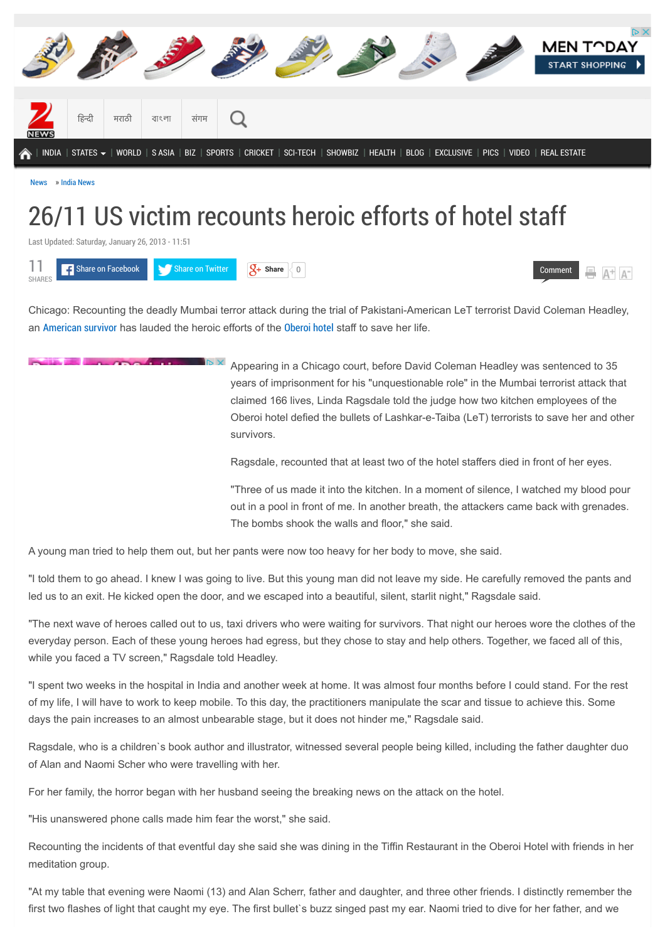

# 26/11 US victim recounts heroic efforts of hotel staff

Last Updated: Saturday, January 26, 2013 - 11:51



Chicago: Recounting the deadly Mumbai terror attack during the trial of Pakistani-American LeT terrorist David Coleman Headley, an [American survivor](http://zeenews.india.com/tags/american-survivor.html) has lauded the heroic efforts of the [Oberoi hotel](http://zeenews.india.com/tags/oberoi-hotel.html) staff to save her life.

> $\mathbb{R}$ Appearing in a Chicago court, before David Coleman Headley was sentenced to 35 years of imprisonment for his "unquestionable role" in the Mumbai terrorist attack that claimed 166 lives, Linda Ragsdale told the judge how two kitchen employees of the Oberoi hotel defied the bullets of Lashkar-e-Taiba (LeT) terrorists to save her and other survivors.

[Comment](http://zeenews.india.com/news/nation/26/11-us-victim-recounts-heroic-efforts-of-hotel-staff_825114.html#comments)

Ragsdale, recounted that at least two of the hotel staffers died in front of her eyes.

"Three of us made it into the kitchen. In a moment of silence, I watched my blood pour out in a pool in front of me. In another breath, the attackers came back with grenades. The bombs shook the walls and floor," she said.

A young man tried to help them out, but her pants were now too heavy for her body to move, she said.

"I told them to go ahead. I knew I was going to live. But this young man did not leave my side. He carefully removed the pants and led us to an exit. He kicked open the door, and we escaped into a beautiful, silent, starlit night," Ragsdale said.

"The next wave of heroes called out to us, taxi drivers who were waiting for survivors. That night our heroes wore the clothes of the everyday person. Each of these young heroes had egress, but they chose to stay and help others. Together, we faced all of this, while you faced a TV screen," Ragsdale told Headley.

"I spent two weeks in the hospital in India and another week at home. It was almost four months before I could stand. For the rest of my life, I will have to work to keep mobile. To this day, the practitioners manipulate the scar and tissue to achieve this. Some days the pain increases to an almost unbearable stage, but it does not hinder me," Ragsdale said.

Ragsdale, who is a children`s book author and illustrator, witnessed several people being killed, including the father daughter duo of Alan and Naomi Scher who were travelling with her.

For her family, the horror began with her husband seeing the breaking news on the attack on the hotel.

"His unanswered phone calls made him fear the worst," she said.

Recounting the incidents of that eventful day she said she was dining in the Tiffin Restaurant in the Oberoi Hotel with friends in her meditation group.

"At my table that evening were Naomi (13) and Alan Scherr, father and daughter, and three other friends. I distinctly remember the first two flashes of light that caught my eye. The first bullet`s buzz singed past my ear. Naomi tried to dive for her father, and we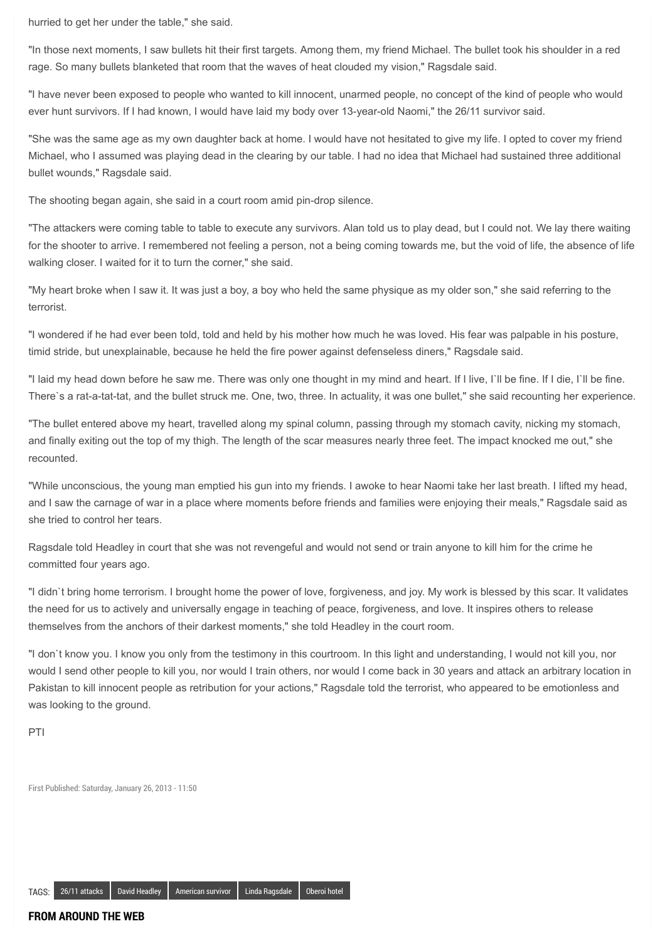hurried to get her under the table," she said.

"In those next moments, I saw bullets hit their first targets. Among them, my friend Michael. The bullet took his shoulder in a red rage. So many bullets blanketed that room that the waves of heat clouded my vision," Ragsdale said.

"I have never been exposed to people who wanted to kill innocent, unarmed people, no concept of the kind of people who would ever hunt survivors. If I had known, I would have laid my body over 13-year-old Naomi," the 26/11 survivor said.

"She was the same age as my own daughter back at home. I would have not hesitated to give my life. I opted to cover my friend Michael, who I assumed was playing dead in the clearing by our table. I had no idea that Michael had sustained three additional bullet wounds," Ragsdale said.

The shooting began again, she said in a court room amid pin-drop silence.

"The attackers were coming table to table to execute any survivors. Alan told us to play dead, but I could not. We lay there waiting for the shooter to arrive. I remembered not feeling a person, not a being coming towards me, but the void of life, the absence of life walking closer. I waited for it to turn the corner," she said.

"My heart broke when I saw it. It was just a boy, a boy who held the same physique as my older son," she said referring to the terrorist.

"I wondered if he had ever been told, told and held by his mother how much he was loved. His fear was palpable in his posture, timid stride, but unexplainable, because he held the fire power against defenseless diners," Ragsdale said.

"I laid my head down before he saw me. There was only one thought in my mind and heart. If I live, I`ll be fine. If I die, I`ll be fine. There`s a rat-a-tat-tat, and the bullet struck me. One, two, three. In actuality, it was one bullet," she said recounting her experience.

"The bullet entered above my heart, travelled along my spinal column, passing through my stomach cavity, nicking my stomach, and finally exiting out the top of my thigh. The length of the scar measures nearly three feet. The impact knocked me out," she recounted.

"While unconscious, the young man emptied his gun into my friends. I awoke to hear Naomi take her last breath. I lifted my head, and I saw the carnage of war in a place where moments before friends and families were enjoying their meals," Ragsdale said as she tried to control her tears.

Ragsdale told Headley in court that she was not revengeful and would not send or train anyone to kill him for the crime he committed four years ago.

"I didn`t bring home terrorism. I brought home the power of love, forgiveness, and joy. My work is blessed by this scar. It validates the need for us to actively and universally engage in teaching of peace, forgiveness, and love. It inspires others to release themselves from the anchors of their darkest moments," she told Headley in the court room.

"I don`t know you. I know you only from the testimony in this courtroom. In this light and understanding, I would not kill you, nor would I send other people to kill you, nor would I train others, nor would I come back in 30 years and attack an arbitrary location in Pakistan to kill innocent people as retribution for your actions," Ragsdale told the terrorist, who appeared to be emotionless and was looking to the ground.

PTI

First Published: Saturday, January 26, 2013 - 11:50

#### **FROM AROUND THE WEB**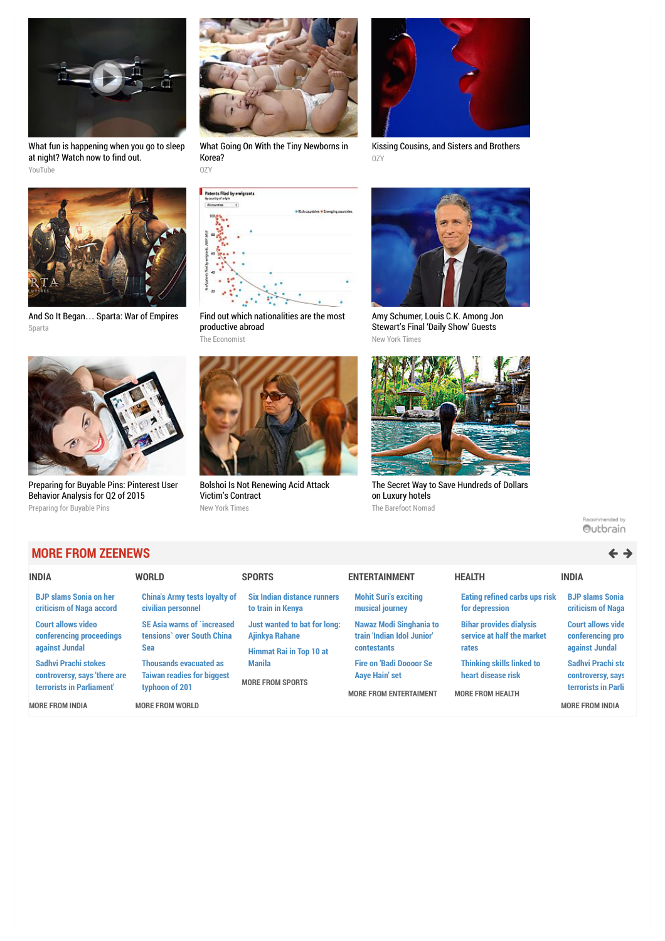

[What fun is happening when you go to sleep](http://youtu.be/uj0v1BgzUdc?utm_source=outbrain&utm_medium=referral&utm_content=swarm-tvc-type03&utm_campaign=aim) at night? Watch now to find out. YouTube



And So It Began… [Sparta: War of Empires](http://plarium.com/en/strategy-games/sparta-war-of-empires/?plid=67283&pxl=outbrain&publisherid=SP_EN_ROW_New_Pool_Test) Sparta



[Preparing for Buyable Pins: Pinterest User](https://www.jumpshot.com/preparing-for-buyable-pins-pinterest-user-behavior-analysis-for-q2-of-2015/?utm_source=Outbrain&utm_medium=content&utm_content=Pinterest_BuyablePins&utm_campaign=Outbrain_Pinterest) Behavior Analysis for Q2 of 2015 Preparing for Buyable Pins



[What Going On With the Tiny Newborns in](http://www.ozy.com/acumen/whats-wrong-with-all-those-little-newborns/40384?utm_source=Outbrain&utm_medium=CPC&utm_campaign=INTL%20-%20All%20Clicks%20ALL%20Devices) Korea? OZY



[Kissing Cousins, and Sisters and Brothers](http://www.ozy.com/fast-forward/kissing-cousins-and-sisters-and-brothers/41716?utm_source=Outbrain&utm_medium=CPC&utm_campaign=INTL%20-%20All%20Clicks%20ALL%20Devices) OZY



[Find out which nationalities are the most](https://ad.doubleclick.net/ddm/trackclk/N5532.1599088.OUTBRAIN.COM/B8673710.120813307;dc_trk_aid=293675026;dc_trk_cid=62482706) productive abroad The Economist



[Bolshoi Is Not Renewing Acid Attack](http://www.nytimes.com/2015/07/31/arts/dance/bolshoi-is-not-renewing-acid-attack-victims-contract.html?WT.mc_id=2015-AUGUST-OTB-INTL_AUD_DEV-0801-0831&WT.mc_ev=click&ad-keywords=IntlAudDev) Victim's Contract New York Times



[Amy Schumer, Louis C.K. Among Jon](http://artsbeat.blogs.nytimes.com/2015/07/31/amy-schumer-louis-c-k-among-jon-stewarts-final-daily-show-guests/?WT.mc_id=2015-AUGUST-OTB-INTL_AUD_DEV-0801-0831&WT.mc_ev=click&ad-keywords=IntlAudDev) Stewart's Final 'Daily Show' Guests New York Times



[The Secret Way to Save Hundreds of Dollars](http://www.thebarefootnomad.com/travel-tips/hold-your-horses-a-better-way-to-book-your-hotel-with-travelpony/) on Luxury hotels The Barefoot Nomad

Recommended by Outbrain

### **MORE FROM ZEENEWS**

| <b>INDIA</b>                                                                      | <b>WORLD</b>                                                                         | <b>SPORTS</b>                                                                    | <b>ENTERTAINMENT</b>                                                                     | <b>HEALTH</b>                                                                     | <b>INDIA</b>                                                   |
|-----------------------------------------------------------------------------------|--------------------------------------------------------------------------------------|----------------------------------------------------------------------------------|------------------------------------------------------------------------------------------|-----------------------------------------------------------------------------------|----------------------------------------------------------------|
| <b>BJP slams Sonia on her</b><br>criticism of Naga accord                         | <b>China's Army tests loyalty of</b><br>civilian personnel                           | <b>Six Indian distance runners</b><br>to train in Kenya                          | <b>Mohit Suri's exciting</b><br>musical journey                                          | <b>Eating refined carbs ups risk</b><br>for depression                            | <b>BJP slams Sonia</b><br>criticism of Naga                    |
| <b>Court allows video</b><br>conferencing proceedings<br>against Jundal           | <b>SE Asia warns of `increased</b><br>tensions' over South China<br>Sea              | Just wanted to bat for long:<br>Ajinkya Rahane<br><b>Himmat Rai in Top 10 at</b> | <b>Nawaz Modi Singhania to</b><br>train 'Indian Idol Junior'<br><b>contestants</b>       | <b>Bihar provides dialysis</b><br>service at half the market<br>rates             | <b>Court allows vide</b><br>conferencing pro<br>against Jundal |
| Sadhvi Prachi stokes<br>controversy, says 'there are<br>terrorists in Parliament' | <b>Thousands evacuated as</b><br><b>Taiwan readies for biggest</b><br>typhoon of 201 | <b>Manila</b><br><b>MORE FROM SPORTS</b>                                         | <b>Fire on 'Badi Doooor Se</b><br><b>Aaye Hain' set</b><br><b>MORE FROM ENTERTAIMENT</b> | <b>Thinking skills linked to</b><br>heart disease risk<br><b>MORE FROM HEALTH</b> | Sadhvi Prachi sto<br>controversy, says<br>terrorists in Parli  |
| <b>MORE FROM INDIA</b>                                                            | <b>MORE FROM WORLD</b>                                                               |                                                                                  |                                                                                          |                                                                                   | <b>MORE FROM INDIA</b>                                         |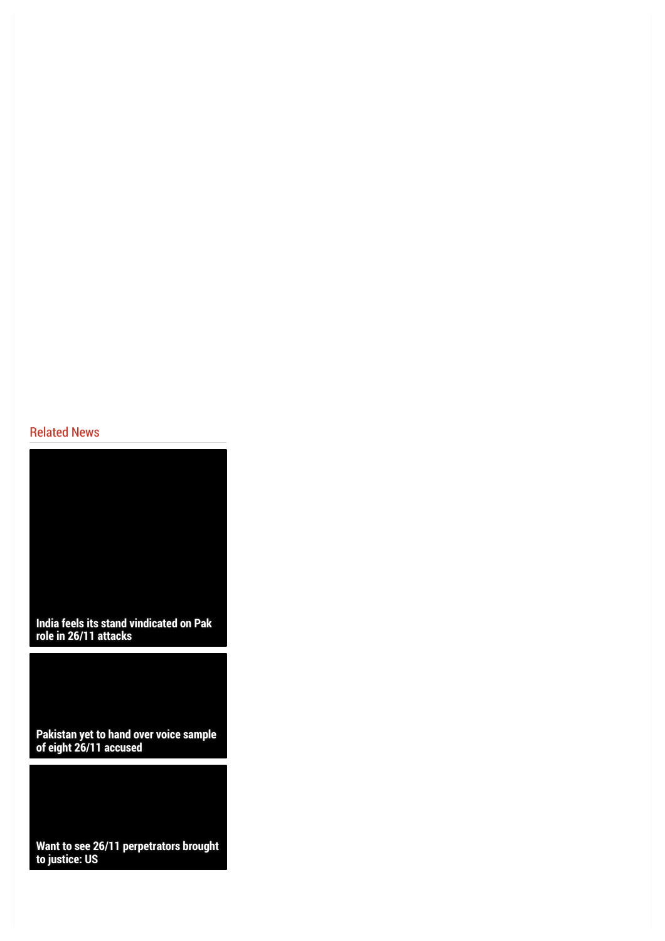### Related News

**[India feels its stand vindicated on Pak](http://zeenews.india.com/news/india/india-feels-its-stand-vindicated-on-pak-role-in-26/11-attacks_1641606.html) role in 26/11 attacks**

**[Pakistan yet to hand over voice sample](http://zeenews.india.com/news/india/pakistan-yet-to-hand-over-voice-sample-of-eight-26/11-accused_1641468.html) of eight 26/11 accused**

**[Want to see 26/11 perpetrators brought](http://zeenews.india.com/news/india/want-to-see-26/11-perpetrators-brought-to-justice-us_1640032.html) to justice: US**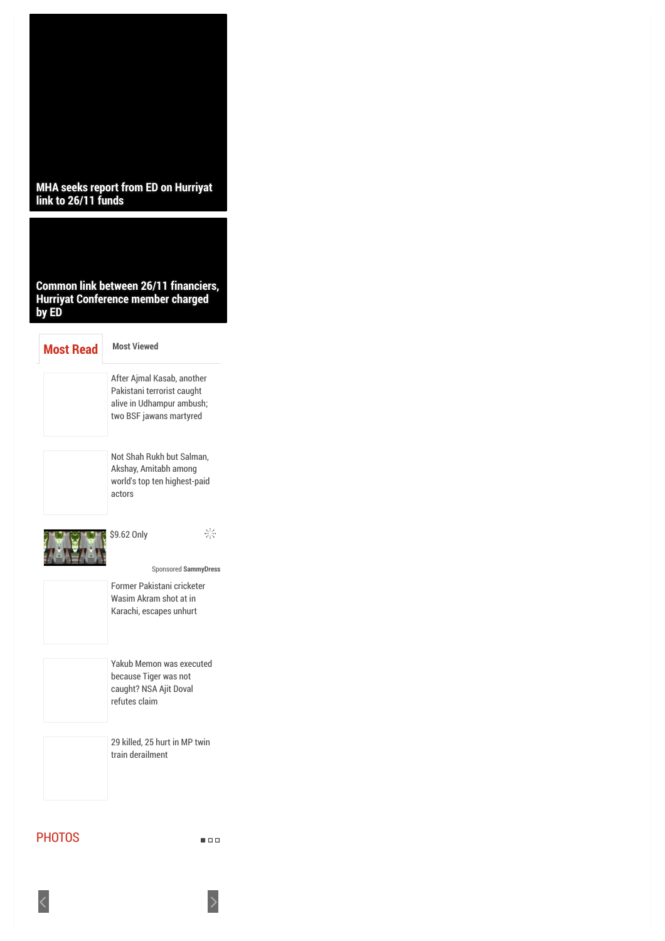

 $\blacksquare \square \square$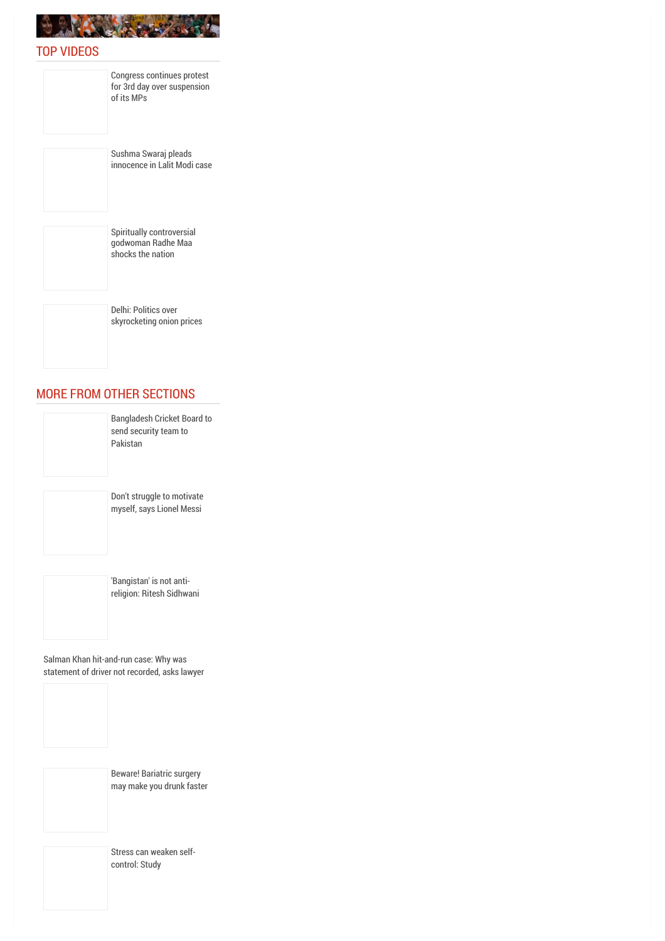

#### TOP VIDEOS

Congress continues protest [for 3rd day over suspension](http://zeenews.india.com/news/videos/top-stories/congress-continues-protest-for-3rd-day-over-suspension-of-its-mps_1642572.html) of its MPs

Sushma Swaraj pleads [innocence in Lalit Modi case](http://zeenews.india.com/news/videos/top-stories/sushma-swaraj-pleads-innocence-in-lalit-modi-case_1642612.html)



Delhi: Politics over [skyrocketing onion prices](http://zeenews.india.com/news/videos/top-stories/delhi-politics-over-skyrocketing-onion-prices_1642582.html)

## MORE FROM OTHER SECTIONS



'Bangistan' is not anti[religion: Ritesh Sidhwani](http://zeenews.india.com/entertainment/movies/bangistan-is-not-anti-religion-ritesh-sidhwani_1642838.html)

Salman Khan hit-and-run case: Why was [statement of driver not recorded, asks lawyer](http://zeenews.india.com/entertainment/celebrity/salman-khan-hit-and-run-case-why-was-statement-of-driver-not-recorded-asks-lawyer_1642836.html)



Beware! Bariatric surgery [may make you drunk faster](http://zeenews.india.com/news/health/health-news/beware-bariatric-surgery-may-make-you-drunk-faster_1642720.html)

[Stress can weaken self](http://zeenews.india.com/news/health/health-news/stress-can-weaken-self-control-study_1642667.html)control: Study